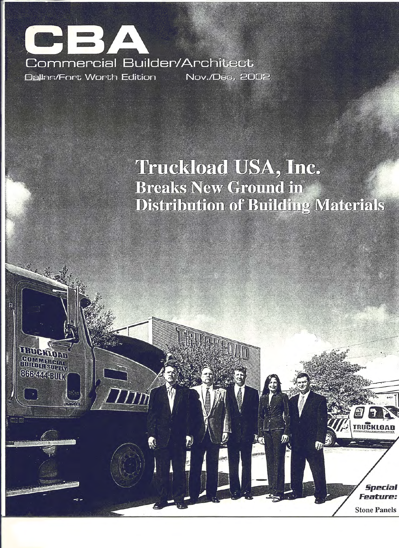

第三章

TREE

**COMMERCIAL**<br>BUILDER SUPPLY **866-444-BULK** 

 $0<sub>1</sub>$ 

## **Truckload USA, Inc. Breaks New Ground in Distribution of Building Materials**

**Special Feature:** 

**TRUCKLOAD** 

**Stone Panels**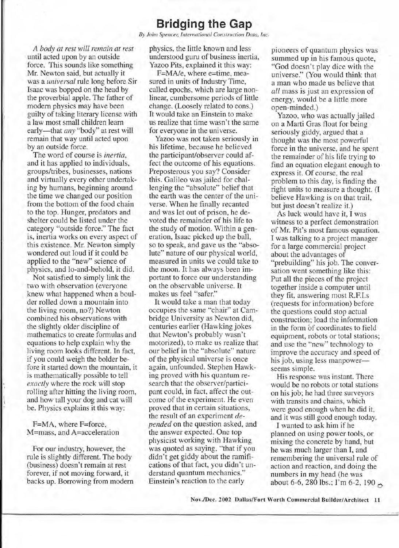### **Bridging the Gap**

*By John Spencer; International Construction Data, Inc.*

*A body at rest will remain at rest* until acted upon by an outside force. This sounds like something Mr. Newton said, but actually it was a *universal* rule long before Sir Isaac was bopped on the head by the proverbial apple. The father of modem physics may have been guilty of taking literary license with a law most small children learn early-that *any* "body" at rest will remain that way until acted upon by an outside force.

The word of course is *inertia,* and it has applied to individuals, groups/tribes, businesses, nations and virtually every other undertaking by humans, beginning around the time we changed our position from the bottom of the food chain to the top. Hunger, predators and shelter could be listed under the category "outside force." The fact is, inertia works on every aspect of this existence. Mr. Newton simply wondered out loud if it could be applied to the "new" science of physics, and lo-and-behold, it did.

Not satisfied to simply link the two with observation (everyone knew what happened when a boulder rolled down a mountain into the living room, no?) Newton combined his observations with' the slightly older discipline of mathematics to create formulas and equations to help explain why the living room looks different. In fact, if you could weigh the bolder before it started down the mountain, it is mathematically possible to tell *exactly* where the rock will stop rolling after hitting the living room, and how tall your dog and cat will be. Physics explains it this way:

F=MA, where F=force, M=mass, and A=acceleration

For our industry, however, the rule is slightly different. The body (business) doesn't remain at rest forever, if not moving forward, it backs up. Borrowing from modem physics, the little known and less understood guru of business inertia, . Yazoo Pits, explained it this way:

F=MA/e, where e=time, measured in units of Industry Time, called epochs, which are large nonlinear, cumbersome periods of little change. (Loosely related to eons.) It would take an Einstein to make us realize that time wasn't the same for everyone in the universe.

Yazoo was not taken seriously in his lifetime, because he believed the participant/observer could affect the outcome of his equations. Preposterous you say? Consider this. Galileo was jailed for challenging the "absolute" belief that the earth was the center of the universe. When he finally recanted and was let out of prison, he devoted the remainder of his life to the study of motion. Within a generation, Isaac picked up the ball, so to speak, and gave us the "absolute" nature of our physical world, measured in units we could take to the moon. It has always been important to force our understanding on the observable universe. It makes us feel "safer."

It would take a man that today occupies the same "chair" at Cambridge University as Newton did, centuries earlier (Hawking jokes that Newton's probably wasn't motorized), to make us realize that our belief in the "absolute" nature of the physical universe is once again, unfounded. Stephen Hawking proved with his quantum research that the observer/participant could, in fact, affect the outcome of the experiment. He even proved that in certain situations, the result of an experiment *depended* on the question asked, and the answer expected. One top physicist working with Hawking was quoted as saying, "that if you didn't get giddy about the ramifications of that fact, you didn't understand quantum mechanics." Einstein's reaction to the early

pioneers of quantum physics was summed up in his famous quote, "God doesn't play dice with the universe." (You would think that a man who made us believe that *all* mass is just an expression of energy, would be a little more open-minded. )

Yazoo, who was actually jailed on a Marti Gras float for being seriously giddy, argued that a thought was the most powerful force in the universe, and he spent the remainder of his life trying to find an equation elegant enough to express it. Of course, the real problem to this day, is finding the right units to measure a thought. (I believe Hawking is on that trail, but just doesn't realize it.)

As luck would have it, I was witness to a perfect demonstration . of Mr. Pit's most famous equation. I was talking to a project manager for a large commercial project about the advantages of "prebuilding" his job. The conversation went something like this: Put all the pieces of the project together inside a computer until they fit, answering most R.F.I.s (requests for information) before the questions could stop actual construction; load the information in the form of coordinates to field equipment, robots or total stations; and use the "new" technology to improve the accuracy and speed of his job, using less manpowerseems simple.

His response was instant. There would be no robots or total stations on his job; he had three surveyors with transits and chains, which were good enough when he did it, and it was still good enough today.

I wanted to ask him if he planned on using power tools, or mixing the concrete by hand, but he was much larger than I, and remembering the universal rule of action and reaction, and doing the numbers in my head (he was about 6-6, 280 lbs.; I'm 6-2, 190  $\sim$ 

Nov./Dec.2002 Dallas/Fort Worth Commercial Builder/Architect 11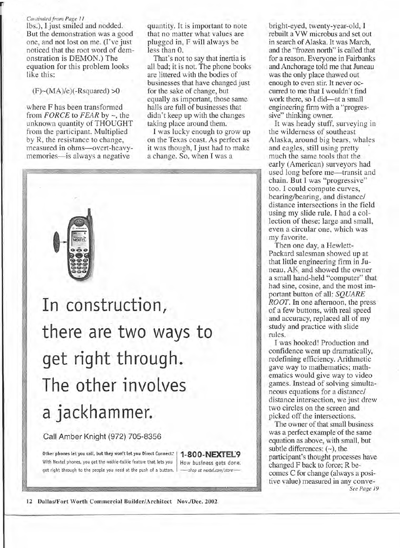#### *• . Continued from Page II*

lbs.), I just smiled and nodded. But the demonstration was a good one, and not lost on me. (I've just noticed that the root word of demonstration is DEMON.) The equation for this problem looks like this:

 $(F)$  ~  $(MA)/e$ ) $(-Rsquared) > 0$ 

where F has been transformed from *FORCE* to *FEAR* by -, the unknown quantity of THOUGHT from the participant. Multiplied by R, the resistance to change, measured in ohms-overt-heavymemories—is always a negative

quantity. It is important to note that no matter what values are plugged in, F will always be less than O.

That's not to say that inertia is all bad; it is not. The phone books are littered with the bodies of businesses that have changed just for the sake of change, but equally as important, those same halls are full of businesses that didn't keep up with the changes taking place around them.

I was lucky enough to grow up on the Texas coast. As perfect as it was though, I just had to make a change. So, when I was a



Call Amber Knight (972) 705-8356

Other phones let you call, but they won't let you Direct Connect: | 1-800-NEXTEL9 With Nextel phones, you get the walkie-talkie feature that lets you  $\parallel$  How business gets done: get right through to the people you need at the push of a button. | - shop at nextel.com/store-

bright-eyed, twenty-year-old, I rebuilt a VW microbus and set out in search of Alaska. It was March, and the "frozen north" is called that for a reason. Everyone in Fairbanks and Anchorage told me that Juneau was the only place thawed out enough to even stir. It never occurred to me that I wouldn't find work there, so I did-at a small engineering firm with a "progressive" thinking owner.

It was heady stuff, surveying in the wilderness of southeast Alaska, around big bears, whales and eagles, still using pretty . much the same tools that the early (American) surveyors had used long before me—transit and chain. But I was "progressive" too. I could compute curves, bearing/bearing, and distance/ distance intersections in the field using my slide rule. I had a collection of these: large and small, even a circular one, which was my favorite.

Then one day, a Hewlett-Packard salesman showed up at that little engineering firm in Juneau, AK and showed the owner a small hand-held "computer" that had sine, cosine, and the most important button of all: *SQUARE ROOT.* In one afternoon, the press of a few buttons, with real speed and accuracy, replaced all of my study and practice with slide rules.

I was hooked! Production and confidence went up dramatically, redefining efficiency. Arithmetic gave way to mathematics; mathematics would give way to video games. Instead of solving simultaneous equations for a distance/ distance intersection, we just drew two circles on the screen and picked off the intersections.

The owner of that small business was a perfect example of the same equation as above, with small, but subtle differences:  $(-)$ , the participant's thought processes have changed F back to force; R becomes C for change (always a positive value) measured in any conve-*See Page 19*

12 Dallas/Fort Worth Commercial Builder/Architect Nov./Dec.2002